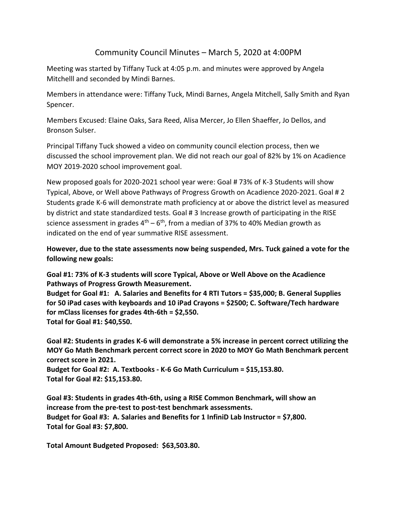## Community Council Minutes – March 5, 2020 at 4:00PM

Meeting was started by Tiffany Tuck at 4:05 p.m. and minutes were approved by Angela Mitchelll and seconded by Mindi Barnes.

Members in attendance were: Tiffany Tuck, Mindi Barnes, Angela Mitchell, Sally Smith and Ryan Spencer.

Members Excused: Elaine Oaks, Sara Reed, Alisa Mercer, Jo Ellen Shaeffer, Jo Dellos, and Bronson Sulser.

Principal Tiffany Tuck showed a video on community council election process, then we discussed the school improvement plan. We did not reach our goal of 82% by 1% on Acadience MOY 2019-2020 school improvement goal.

New proposed goals for 2020-2021 school year were: Goal # 73% of K-3 Students will show Typical, Above, or Well above Pathways of Progress Growth on Acadience 2020-2021. Goal # 2 Students grade K-6 will demonstrate math proficiency at or above the district level as measured by district and state standardized tests. Goal # 3 Increase growth of participating in the RISE science assessment in grades  $4^{\text{th}} - 6^{\text{th}}$ , from a median of 37% to 40% Median growth as indicated on the end of year summative RISE assessment.

**However, due to the state assessments now being suspended, Mrs. Tuck gained a vote for the following new goals:**

**Goal #1: 73% of K-3 students will score Typical, Above or Well Above on the Acadience Pathways of Progress Growth Measurement.** 

**Budget for Goal #1: A. Salaries and Benefits for 4 RTI Tutors = \$35,000; B. General Supplies for 50 iPad cases with keyboards and 10 iPad Crayons = \$2500; C. Software/Tech hardware for mClass licenses for grades 4th-6th = \$2,550. Total for Goal #1: \$40,550.**

**Goal #2: Students in grades K-6 will demonstrate a 5% increase in percent correct utilizing the MOY Go Math Benchmark percent correct score in 2020 to MOY Go Math Benchmark percent correct score in 2021. Budget for Goal #2: A. Textbooks - K-6 Go Math Curriculum = \$15,153.80.**

**Total for Goal #2: \$15,153.80.**

**Goal #3: Students in grades 4th-6th, using a RISE Common Benchmark, will show an increase from the pre-test to post-test benchmark assessments. Budget for Goal #3: A. Salaries and Benefits for 1 InfiniD Lab Instructor = \$7,800. Total for Goal #3: \$7,800.**

**Total Amount Budgeted Proposed: \$63,503.80.**